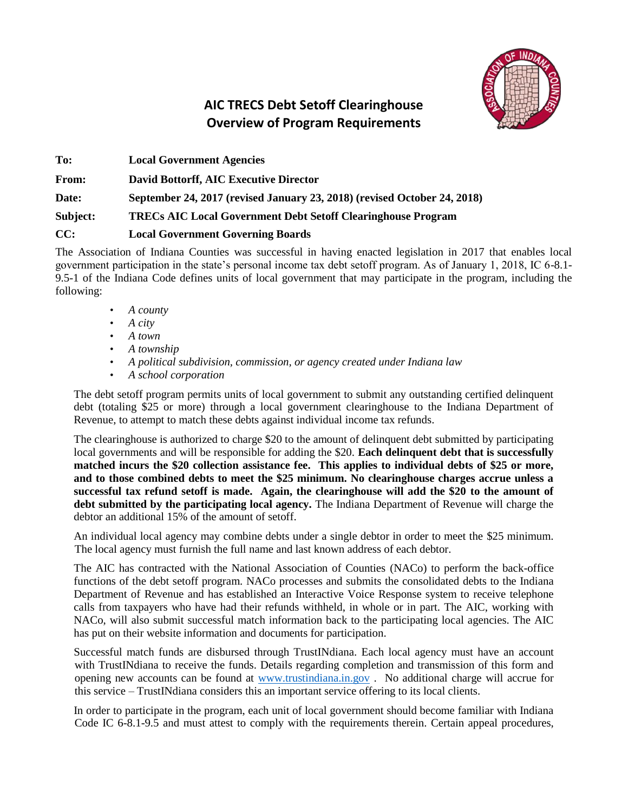

## **AIC TRECS Debt Setoff Clearinghouse Overview of Program Requirements**

**To: Local Government Agencies From: David Bottorff, AIC Executive Director Date: September 24, 2017 (revised January 23, 2018) (revised October 24, 2018) Subject: TRECs AIC Local Government Debt Setoff Clearinghouse Program CC: Local Government Governing Boards**

The Association of Indiana Counties was successful in having enacted legislation in 2017 that enables local government participation in the state's personal income tax debt setoff program. As of January 1, 2018, IC 6-8.1- 9.5-1 of the Indiana Code defines units of local government that may participate in the program, including the following:

- *A county*
- *A city*
- *A town*
- *A township*
- *A political subdivision, commission, or agency created under Indiana law*
- *A school corporation*

The debt setoff program permits units of local government to submit any outstanding certified delinquent debt (totaling \$25 or more) through a local government clearinghouse to the Indiana Department of Revenue, to attempt to match these debts against individual income tax refunds.

The clearinghouse is authorized to charge \$20 to the amount of delinquent debt submitted by participating local governments and will be responsible for adding the \$20. **Each delinquent debt that is successfully matched incurs the \$20 collection assistance fee. This applies to individual debts of \$25 or more, and to those combined debts to meet the \$25 minimum. No clearinghouse charges accrue unless a successful tax refund setoff is made. Again, the clearinghouse will add the \$20 to the amount of debt submitted by the participating local agency.** The Indiana Department of Revenue will charge the debtor an additional 15% of the amount of setoff.

An individual local agency may combine debts under a single debtor in order to meet the \$25 minimum. The local agency must furnish the full name and last known address of each debtor.

The AIC has contracted with the National Association of Counties (NACo) to perform the back-office functions of the debt setoff program. NACo processes and submits the consolidated debts to the Indiana Department of Revenue and has established an Interactive Voice Response system to receive telephone calls from taxpayers who have had their refunds withheld, in whole or in part. The AIC, working with NACo, will also submit successful match information back to the participating local agencies. The AIC has put on their website information and documents for participation.

Successful match funds are disbursed through TrustINdiana. Each local agency must have an account with TrustINdiana to receive the funds. Details regarding completion and transmission of this form and opening new accounts can be found at [www.trustindiana.in.gov](http://www.trustindiana.in.gov/) . No additional charge will accrue for this service – TrustINdiana considers this an important service offering to its local clients.

In order to participate in the program, each unit of local government should become familiar with Indiana Code IC 6-8.1-9.5 and must attest to comply with the requirements therein. Certain appeal procedures,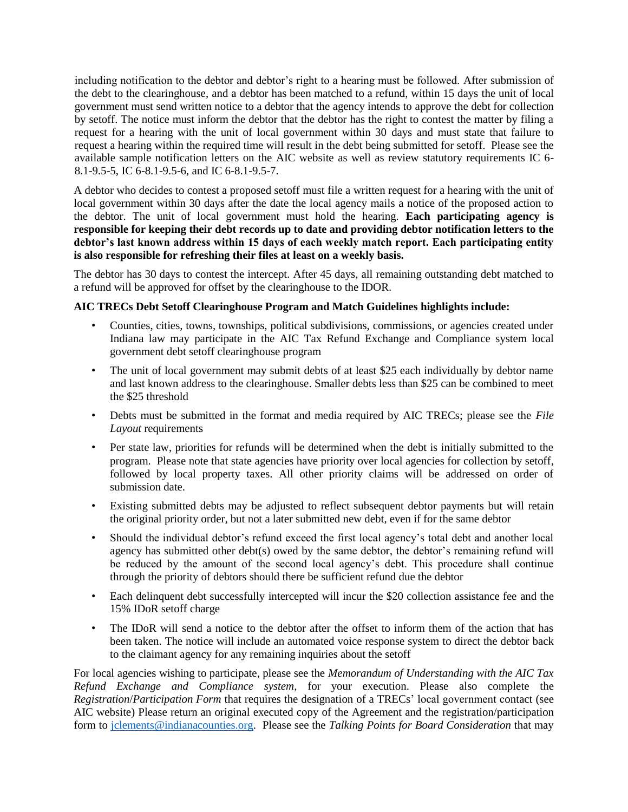including notification to the debtor and debtor's right to a hearing must be followed. After submission of the debt to the clearinghouse, and a debtor has been matched to a refund, within 15 days the unit of local government must send written notice to a debtor that the agency intends to approve the debt for collection by setoff. The notice must inform the debtor that the debtor has the right to contest the matter by filing a request for a hearing with the unit of local government within 30 days and must state that failure to request a hearing within the required time will result in the debt being submitted for setoff. Please see the available sample notification letters on the AIC website as well as review statutory requirements IC 6- 8.1-9.5-5, IC 6-8.1-9.5-6, and IC 6-8.1-9.5-7.

A debtor who decides to contest a proposed setoff must file a written request for a hearing with the unit of local government within 30 days after the date the local agency mails a notice of the proposed action to the debtor. The unit of local government must hold the hearing. **Each participating agency is responsible for keeping their debt records up to date and providing debtor notification letters to the debtor's last known address within 15 days of each weekly match report. Each participating entity is also responsible for refreshing their files at least on a weekly basis.** 

The debtor has 30 days to contest the intercept. After 45 days, all remaining outstanding debt matched to a refund will be approved for offset by the clearinghouse to the IDOR.

## **AIC TRECs Debt Setoff Clearinghouse Program and Match Guidelines highlights include:**

- Counties, cities, towns, townships, political subdivisions, commissions, or agencies created under Indiana law may participate in the AIC Tax Refund Exchange and Compliance system local government debt setoff clearinghouse program
- The unit of local government may submit debts of at least \$25 each individually by debtor name and last known address to the clearinghouse. Smaller debts less than \$25 can be combined to meet the \$25 threshold
- Debts must be submitted in the format and media required by AIC TRECs; please see the *File Layout* requirements
- Per state law, priorities for refunds will be determined when the debt is initially submitted to the program.Please note that state agencies have priority over local agencies for collection by setoff, followed by local property taxes. All other priority claims will be addressed on order of submission date.
- Existing submitted debts may be adjusted to reflect subsequent debtor payments but will retain the original priority order, but not a later submitted new debt, even if for the same debtor
- Should the individual debtor's refund exceed the first local agency's total debt and another local agency has submitted other debt(s) owed by the same debtor, the debtor's remaining refund will be reduced by the amount of the second local agency's debt. This procedure shall continue through the priority of debtors should there be sufficient refund due the debtor
- Each delinquent debt successfully intercepted will incur the \$20 collection assistance fee and the 15% IDoR setoff charge
- The IDoR will send a notice to the debtor after the offset to inform them of the action that has been taken. The notice will include an automated voice response system to direct the debtor back to the claimant agency for any remaining inquiries about the setoff

For local agencies wishing to participate, please see the *Memorandum of Understanding with the AIC Tax Refund Exchange and Compliance system,* for your execution. Please also complete the *Registration*/*Participation Form* that requires the designation of a TRECs' local government contact (see AIC website) Please return an original executed copy of the Agreement and the registration/participation form to [jclements@indianacounties.org.](mailto:jclements@indianacounties.org) Please see the *Talking Points for Board Consideration* that may